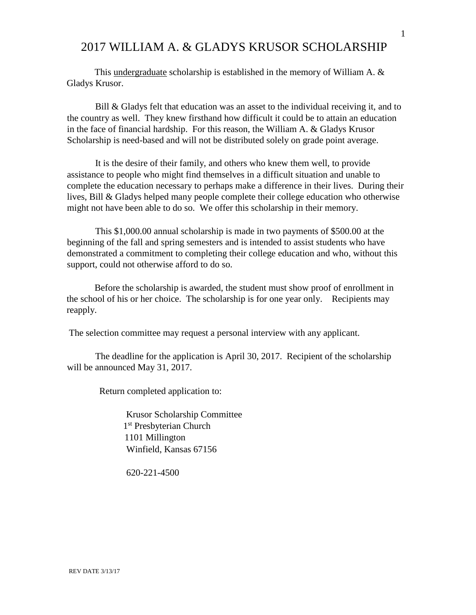## 2017 WILLIAM A. & GLADYS KRUSOR SCHOLARSHIP

This undergraduate scholarship is established in the memory of William A. & Gladys Krusor.

Bill & Gladys felt that education was an asset to the individual receiving it, and to the country as well. They knew firsthand how difficult it could be to attain an education in the face of financial hardship. For this reason, the William A. & Gladys Krusor Scholarship is need-based and will not be distributed solely on grade point average.

It is the desire of their family, and others who knew them well, to provide assistance to people who might find themselves in a difficult situation and unable to complete the education necessary to perhaps make a difference in their lives. During their lives, Bill & Gladys helped many people complete their college education who otherwise might not have been able to do so. We offer this scholarship in their memory.

This \$1,000.00 annual scholarship is made in two payments of \$500.00 at the beginning of the fall and spring semesters and is intended to assist students who have demonstrated a commitment to completing their college education and who, without this support, could not otherwise afford to do so.

Before the scholarship is awarded, the student must show proof of enrollment in the school of his or her choice. The scholarship is for one year only. Recipients may reapply.

The selection committee may request a personal interview with any applicant.

The deadline for the application is April 30, 2017. Recipient of the scholarship will be announced May 31, 2017.

Return completed application to:

Krusor Scholarship Committee 1 st Presbyterian Church 1101 Millington Winfield, Kansas 67156

620-221-4500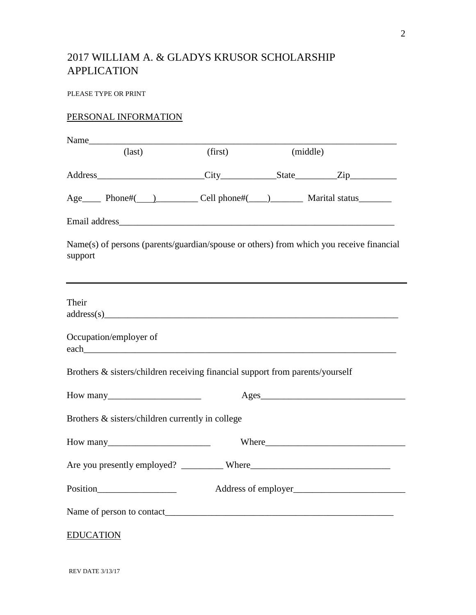## 2017 WILLIAM A. & GLADYS KRUSOR SCHOLARSHIP APPLICATION

PLEASE TYPE OR PRINT

## PERSONAL INFORMATION

| $\text{(last)}$  |                                       | (first)                                                                                 | (middle) |  |                 |
|------------------|---------------------------------------|-----------------------------------------------------------------------------------------|----------|--|-----------------|
|                  |                                       |                                                                                         |          |  |                 |
|                  |                                       | Age  ___ Phone#( __ ) ________ Cell phone#( ___ ) ______ Marital status _______         |          |  |                 |
|                  |                                       |                                                                                         |          |  |                 |
| support          |                                       | Name(s) of persons (parents/guardian/spouse or others) from which you receive financial |          |  |                 |
| Their            |                                       | address(s)                                                                              |          |  |                 |
|                  | Occupation/employer of                |                                                                                         |          |  |                 |
|                  |                                       | Brothers & sisters/children receiving financial support from parents/yourself           |          |  |                 |
|                  | How many $\frac{1}{2}$ How many       |                                                                                         |          |  | $\text{Ages}\_$ |
|                  |                                       | Brothers & sisters/children currently in college                                        |          |  |                 |
|                  | $How many$ $\_\_\_\_\_\_\_\_\_\_\_\_$ |                                                                                         |          |  |                 |
|                  |                                       |                                                                                         |          |  |                 |
|                  |                                       |                                                                                         |          |  |                 |
|                  |                                       |                                                                                         |          |  |                 |
| <b>EDUCATION</b> |                                       |                                                                                         |          |  |                 |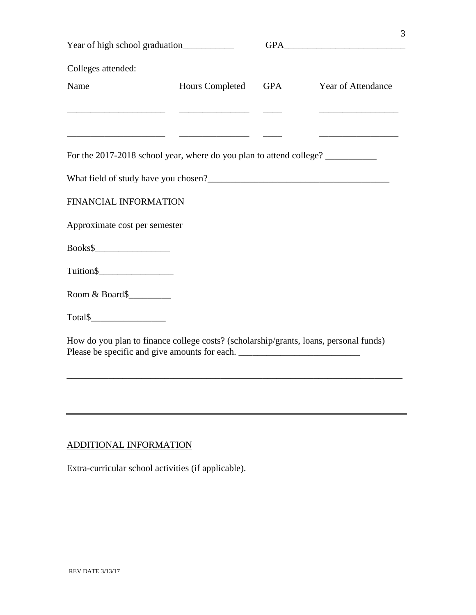| Colleges attended:                                                                                                     |                 |     |                                                   |  |
|------------------------------------------------------------------------------------------------------------------------|-----------------|-----|---------------------------------------------------|--|
| Name                                                                                                                   | Hours Completed | GPA | Year of Attendance                                |  |
| <u> 1980 - Johann Harry Harry Harry Harry Harry Harry Harry Harry Harry Harry Harry Harry Harry Harry Harry Harry</u>  |                 |     | <u> 1980 - Johann Barbara, martxa alemaniar a</u> |  |
| <u> 1989 - Johann John Stone, mars et al. 1989 - John Stone, mars et al. 1989 - John Stone, mars et al. 1989 - Joh</u> |                 |     |                                                   |  |
| For the 2017-2018 school year, where do you plan to attend college?                                                    |                 |     |                                                   |  |
|                                                                                                                        |                 |     |                                                   |  |
| FINANCIAL INFORMATION                                                                                                  |                 |     |                                                   |  |
| Approximate cost per semester                                                                                          |                 |     |                                                   |  |
|                                                                                                                        |                 |     |                                                   |  |
|                                                                                                                        |                 |     |                                                   |  |
| Room & Board\$                                                                                                         |                 |     |                                                   |  |
| $Total \$$                                                                                                             |                 |     |                                                   |  |
| How do you plan to finance college costs? (scholarship/grants, loans, personal funds)                                  |                 |     |                                                   |  |
| Please be specific and give amounts for each. ___________________________________                                      |                 |     |                                                   |  |
|                                                                                                                        |                 |     |                                                   |  |
|                                                                                                                        |                 |     |                                                   |  |

3

## ADDITIONAL INFORMATION

Extra-curricular school activities (if applicable).